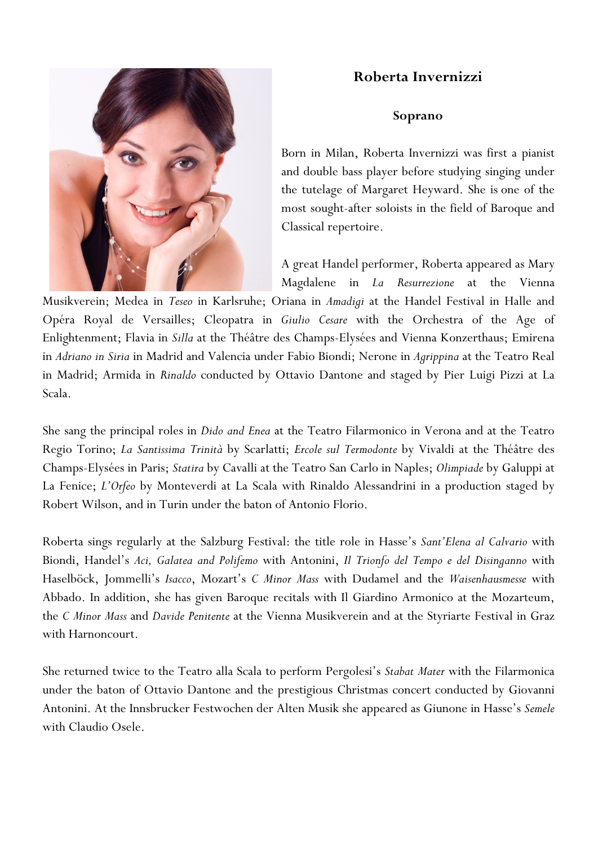## **Roberta Invernizzi**



## **Soprano**

Born in Milan, Roberta Invernizzi was first a pianist and double bass player before studying singing under the tutelage of Margaret Heyward. She is one of the most sought-after soloists in the field of Baroque and Classical repertoire.

A great Handel performer, Roberta appeared as Mary Magdalene in *La Resurrezione* at the Vienna

Musikverein; Medea in *Teseo* in Karlsruhe; Oriana in *Amadigi* at the Handel Festival in Halle and Opéra Royal de Versailles; Cleopatra in *Giulio Cesare* with the Orchestra of the Age of Enlightenment; Flavia in *Silla* at the Théâtre des Champs-Elysées and Vienna Konzerthaus; Emirena in *Adriano in Siria* in Madrid and Valencia under Fabio Biondi; Nerone in *Agrippina* at the Teatro Real in Madrid; Armida in *Rinaldo* conducted by Ottavio Dantone and staged by Pier Luigi Pizzi at La Scala.

She sang the principal roles in *Dido and Enea* at the Teatro Filarmonico in Verona and at the Teatro Regio Torino; *La Santissima Trinità* by Scarlatti; *Ercole sul Termodonte* by Vivaldi at the Théâtre des Champs-Elysées in Paris; *Statira* by Cavalli at the Teatro San Carlo in Naples; *Olimpiade* by Galuppi at La Fenice; *L'Orfeo* by Monteverdi at La Scala with Rinaldo Alessandrini in a production staged by Robert Wilson, and in Turin under the baton of Antonio Florio.

Roberta sings regularly at the Salzburg Festival: the title role in Hasse's *Sant'Elena al Calvario* with Biondi, Handel's *Aci, Galatea and Polifemo* with Antonini, *Il Trionfo del Tempo e del Disinganno* with Haselböck, Jommelli's *Isacco*, Mozart's *C Minor Mass* with Dudamel and the *Waisenhausmesse* with Abbado. In addition, she has given Baroque recitals with Il Giardino Armonico at the Mozarteum, the *C Minor Mass* and *Davide Penitente* at the Vienna Musikverein and at the Styriarte Festival in Graz with Harnoncourt.

She returned twice to the Teatro alla Scala to perform Pergolesi's *Stabat Mater* with the Filarmonica under the baton of Ottavio Dantone and the prestigious Christmas concert conducted by Giovanni Antonini. At the Innsbrucker Festwochen der Alten Musik she appeared as Giunone in Hasse's *Semele* with Claudio Osele.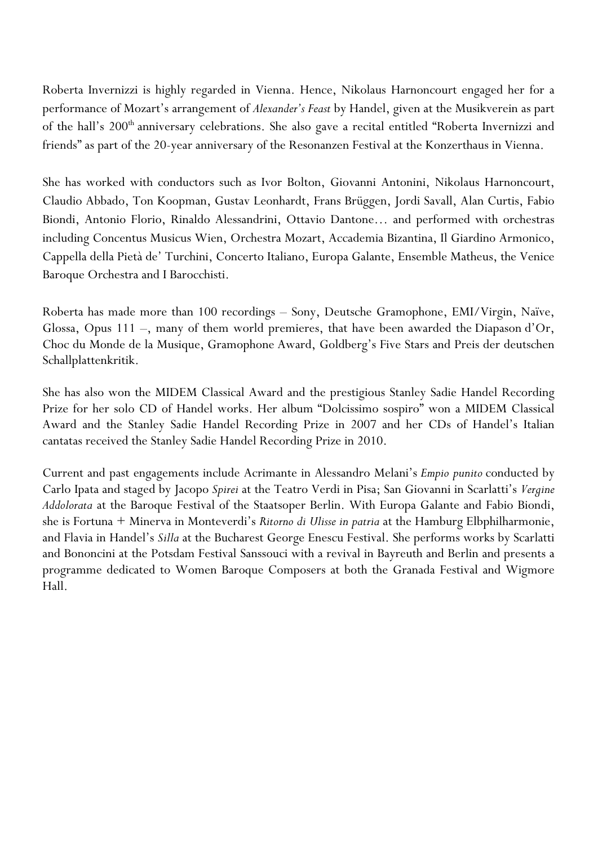Roberta Invernizzi is highly regarded in Vienna. Hence, Nikolaus Harnoncourt engaged her for a performance of Mozart's arrangement of *Alexander's Feast* by Handel, given at the Musikverein as part of the hall's 200<sup>th</sup> anniversary celebrations. She also gave a recital entitled "Roberta Invernizzi and friends" as part of the 20-year anniversary of the Resonanzen Festival at the Konzerthaus in Vienna.

She has worked with conductors such as Ivor Bolton, Giovanni Antonini, Nikolaus Harnoncourt, Claudio Abbado, Ton Koopman, Gustav Leonhardt, Frans Brüggen, Jordi Savall, Alan Curtis, Fabio Biondi, Antonio Florio, Rinaldo Alessandrini, Ottavio Dantone… and performed with orchestras including Concentus Musicus Wien, Orchestra Mozart, Accademia Bizantina, Il Giardino Armonico, Cappella della Pietà de' Turchini, Concerto Italiano, Europa Galante, Ensemble Matheus, the Venice Baroque Orchestra and I Barocchisti.

Roberta has made more than 100 recordings – Sony, Deutsche Gramophone, EMI/Virgin, Naïve, Glossa, Opus 111 –, many of them world premieres, that have been awarded the Diapason d'Or, Choc du Monde de la Musique, Gramophone Award, Goldberg's Five Stars and Preis der deutschen Schallplattenkritik.

She has also won the MIDEM Classical Award and the prestigious Stanley Sadie Handel Recording Prize for her solo CD of Handel works. Her album "Dolcissimo sospiro" won a MIDEM Classical Award and the Stanley Sadie Handel Recording Prize in 2007 and her CDs of Handel's Italian cantatas received the Stanley Sadie Handel Recording Prize in 2010.

Current and past engagements include Acrimante in Alessandro Melani's *Empio punito* conducted by Carlo Ipata and staged by Jacopo *Spirei* at the Teatro Verdi in Pisa; San Giovanni in Scarlatti's *Vergine Addolorata* at the Baroque Festival of the Staatsoper Berlin. With Europa Galante and Fabio Biondi, she is Fortuna + Minerva in Monteverdi's *Ritorno di Ulisse in patria* at the Hamburg Elbphilharmonie, and Flavia in Handel's *Silla* at the Bucharest George Enescu Festival. She performs works by Scarlatti and Bononcini at the Potsdam Festival Sanssouci with a revival in Bayreuth and Berlin and presents a programme dedicated to Women Baroque Composers at both the Granada Festival and Wigmore Hall.